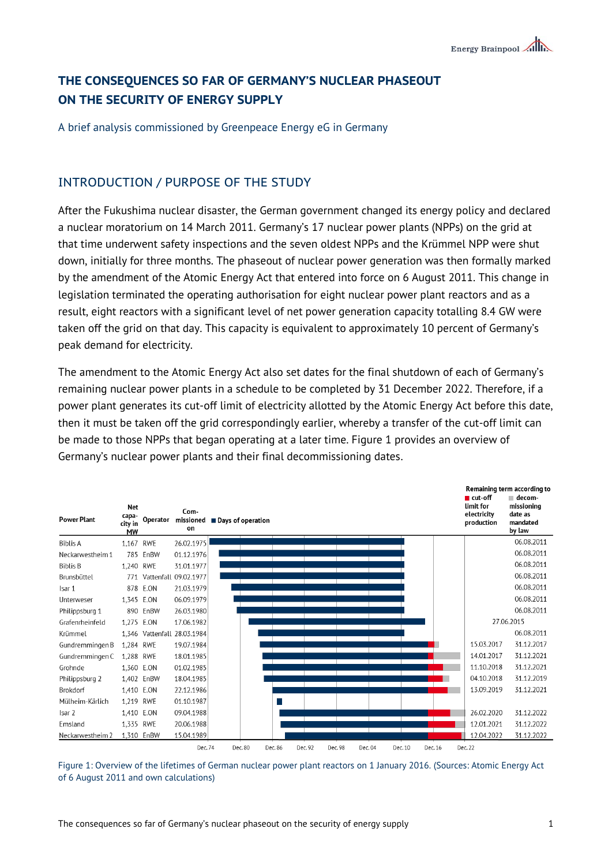# **THE CONSEQUENCES SO FAR OF GERMANY'S NUCLEAR PHASEOUT ON THE SECURITY OF ENERGY SUPPLY**

A brief analysis commissioned by Greenpeace Energy eG in Germany

## INTRODUCTION / PURPOSE OF THE STUDY

After the Fukushima nuclear disaster, the German government changed its energy policy and declared a nuclear moratorium on 14 March 2011. Germany's 17 nuclear power plants (NPPs) on the grid at that time underwent safety inspections and the seven oldest NPPs and the Krümmel NPP were shut down, initially for three months. The phaseout of nuclear power generation was then formally marked by the amendment of the Atomic Energy Act that entered into force on 6 August 2011. This change in legislation terminated the operating authorisation for eight nuclear power plant reactors and as a result, eight reactors with a significant level of net power generation capacity totalling 8.4 GW were taken off the grid on that day. This capacity is equivalent to approximately 10 percent of Germany's peak demand for electricity.

The amendment to the Atomic Energy Act also set dates for the final shutdown of each of Germany's remaining nuclear power plants in a schedule to be completed by 31 December 2022. Therefore, if a power plant generates its cut-off limit of electricity allotted by the Atomic Energy Act before this date, then it must be taken off the grid correspondingly earlier, whereby a transfer of the cut-off limit can be made to those NPPs that began operating at a later time. Figure 1 provides an overview of Germany's nuclear power plants and their final decommissioning dates.

| <b>Power Plant</b> | <b>Net</b><br>capa-<br>city in<br><b>MW</b> | Operator   | Com-<br>missioned<br>on     | ■ Days of operation |         |         |         |         |         |         |         | $\blacksquare$ cut-off<br>limit for<br>electricity<br>production | Remaining term according to<br>■ decom-<br>missioning<br>date as<br>mandated<br>by law |
|--------------------|---------------------------------------------|------------|-----------------------------|---------------------|---------|---------|---------|---------|---------|---------|---------|------------------------------------------------------------------|----------------------------------------------------------------------------------------|
| <b>Biblis A</b>    | 1,167                                       | <b>RWE</b> | 26.02.1975                  |                     |         |         |         |         |         |         |         |                                                                  | 06.08.2011                                                                             |
| Neckarwestheim 1   |                                             | 785 EnBW   | 01.12.1976                  |                     |         |         |         |         |         |         |         |                                                                  | 06.08.2011                                                                             |
| <b>Biblis B</b>    | 1.240 RWE                                   |            | 31.01.1977                  |                     |         |         |         |         |         |         |         |                                                                  | 06.08.2011                                                                             |
| Brunsbüttel        | 771                                         |            | Vattenfall 09.02.1977       |                     |         |         |         |         |         |         |         |                                                                  | 06.08.2011                                                                             |
| Isar 1             |                                             | 878 E.ON   | 21.03.1979                  |                     |         |         |         |         |         |         |         |                                                                  | 06.08.2011                                                                             |
| Unterweser         | 1.345 E.ON                                  |            | 06.09.1979                  |                     |         |         |         |         |         |         |         |                                                                  | 06.08.2011                                                                             |
| Philippsburg 1     |                                             | 890 EnBW   | 26.03.1980                  |                     |         |         |         |         |         |         |         |                                                                  | 06.08.2011                                                                             |
| Grafenrheinfeld    | 1,275 E.ON                                  |            | 17.06.1982                  |                     |         |         |         |         |         |         |         |                                                                  | 27.06.2015                                                                             |
| Krümmel            |                                             |            | 1,346 Vattenfall 28.03.1984 |                     |         |         |         |         |         |         |         |                                                                  | 06.08.2011                                                                             |
| Gundremmingen B    | 1.284 RWE                                   |            | 19.07.1984                  |                     |         |         |         |         |         |         |         | 15.03.2017                                                       | 31.12.2017                                                                             |
| Gundremmingen C    | 1,288 RWE                                   |            | 18.01.1985                  |                     |         |         |         |         |         |         |         | 14.01.2017                                                       | 31.12.2021                                                                             |
| Grohnde            | 1,360 E.ON                                  |            | 01.02.1985                  |                     |         |         |         |         |         |         |         | 11.10.2018                                                       | 31.12.2021                                                                             |
| Philippsburg 2     |                                             | 1,402 EnBW | 18.04.1985                  |                     |         |         |         |         |         |         |         | 04.10.2018                                                       | 31.12.2019                                                                             |
| Brokdorf           | 1,410 E.ON                                  |            | 22.12.1986                  |                     |         |         |         |         |         |         |         | 13.09.2019                                                       | 31.12.2021                                                                             |
| Mülheim-Kärlich    | 1,219 RWE                                   |            | 01.10.1987                  |                     |         |         |         |         |         |         |         |                                                                  |                                                                                        |
| Isar 2             | 1,410 E.ON                                  |            | 09.04.1988                  |                     |         |         |         |         |         |         |         | 26.02.2020                                                       | 31.12.2022                                                                             |
| Emsland            | 1,335 RWE                                   |            | 20.06.1988                  |                     |         |         |         |         |         |         |         | 12.01.2021                                                       | 31.12.2022                                                                             |
| Neckarwestheim 2   |                                             | 1,310 EnBW | 15.04.1989                  |                     |         |         |         |         |         |         |         | 12.04.2022                                                       | 31.12.2022                                                                             |
|                    |                                             |            | Dec. 74                     |                     | Dec. 80 | Dec. 86 | Dec. 92 | Dec. 98 | Dec. 04 | Dec. 10 | Dec. 16 | Dec. 22                                                          |                                                                                        |

Figure 1: Overview of the lifetimes of German nuclear power plant reactors on 1 January 2016. (Sources: Atomic Energy Act of 6 August 2011 and own calculations)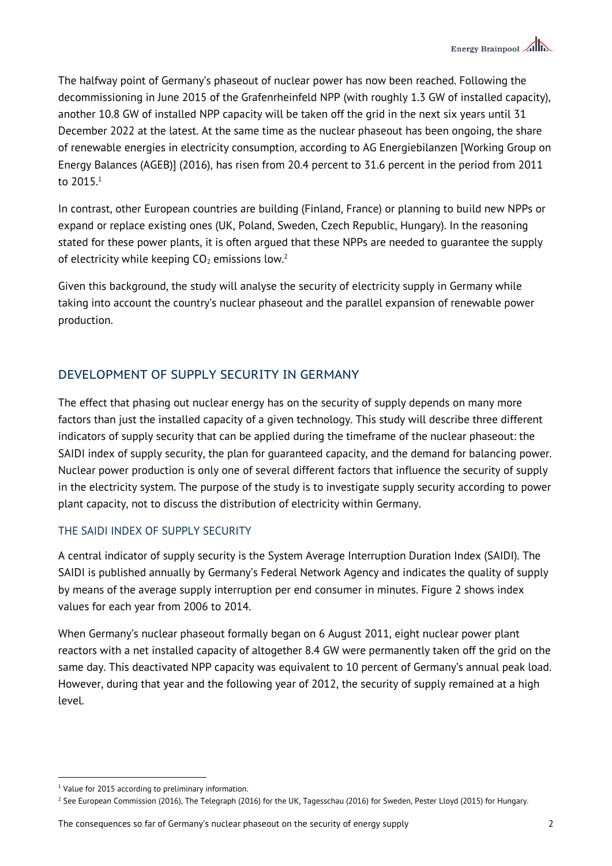The halfway point of Germany's phaseout of nuclear power has now been reached. Following the decommissioning in June 2015 of the Grafenrheinfeld NPP (with roughly 1.3 GW of installed capacity), another 10.8 GW of installed NPP capacity will be taken off the grid in the next six years until 31 December 2022 at the latest. At the same time as the nuclear phaseout has been ongoing, the share of renewable energies in electricity consumption, according to AG Energiebilanzen [Working Group on Energy Balances (AGEB)] (2016), has risen from 20.4 percent to 31.6 percent in the period from 2011 to 2015.<sup>1</sup>

In contrast, other European countries are building (Finland, France) or planning to build new NPPs or expand or replace existing ones (UK, Poland, Sweden, Czech Republic, Hungary). In the reasoning stated for these power plants, it is often argued that these NPPs are needed to guarantee the supply of electricity while keeping  $CO<sub>2</sub>$  emissions low.<sup>2</sup>

Given this background, the study will analyse the security of electricity supply in Germany while taking into account the country's nuclear phaseout and the parallel expansion of renewable power production.

# DEVELOPMENT OF SUPPLY SECURITY IN GERMANY

The effect that phasing out nuclear energy has on the security of supply depends on many more factors than just the installed capacity of a given technology. This study will describe three different indicators of supply security that can be applied during the timeframe of the nuclear phaseout: the SAIDI index of supply security, the plan for guaranteed capacity, and the demand for balancing power. Nuclear power production is only one of several different factors that influence the security of supply in the electricity system. The purpose of the study is to investigate supply security according to power plant capacity, not to discuss the distribution of electricity within Germany.

## THE SAIDI INDEX OF SUPPLY SECURITY

A central indicator of supply security is the System Average Interruption Duration Index (SAIDI). The SAIDI is published annually by Germany's Federal Network Agency and indicates the quality of supply by means of the average supply interruption per end consumer in minutes. Figure 2 shows index values for each year from 2006 to 2014.

When Germany's nuclear phaseout formally began on 6 August 2011, eight nuclear power plant reactors with a net installed capacity of altogether 8.4 GW were permanently taken off the grid on the same day. This deactivated NPP capacity was equivalent to 10 percent of Germany's annual peak load. However, during that year and the following year of 2012, the security of supply remained at a high level.

 $\overline{a}$ 

The consequences so far of Germany's nuclear phaseout on the security of energy supply 2

<sup>&</sup>lt;sup>1</sup> Value for 2015 according to preliminary information.

 $2$  See European Commission (2016), The Telegraph (2016) for the UK, Tagesschau (2016) for Sweden, Pester Lloyd (2015) for Hungary.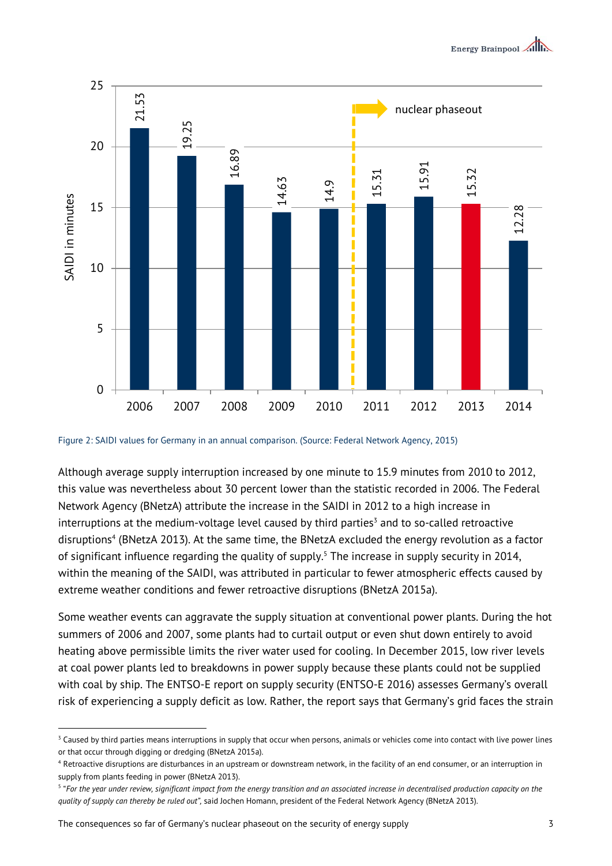

Figure 2: SAIDI values for Germany in an annual comparison. (Source: Federal Network Agency, 2015)

Although average supply interruption increased by one minute to 15.9 minutes from 2010 to 2012, this value was nevertheless about 30 percent lower than the statistic recorded in 2006. The Federal Network Agency (BNetzA) attribute the increase in the SAIDI in 2012 to a high increase in interruptions at the medium-voltage level caused by third parties<sup>3</sup> and to so-called retroactive disruptions<sup>4</sup> (BNetzA 2013). At the same time, the BNetzA excluded the energy revolution as a factor of significant influence regarding the quality of supply.<sup>5</sup> The increase in supply security in 2014, within the meaning of the SAIDI, was attributed in particular to fewer atmospheric effects caused by extreme weather conditions and fewer retroactive disruptions (BNetzA 2015a).

Some weather events can aggravate the supply situation at conventional power plants. During the hot summers of 2006 and 2007, some plants had to curtail output or even shut down entirely to avoid heating above permissible limits the river water used for cooling. In December 2015, low river levels at coal power plants led to breakdowns in power supply because these plants could not be supplied with coal by ship. The ENTSO-E report on supply security (ENTSO-E 2016) assesses Germany's overall risk of experiencing a supply deficit as low. Rather, the report says that Germany's grid faces the strain

1

 $3$  Caused by third parties means interruptions in supply that occur when persons, animals or vehicles come into contact with live power lines or that occur through digging or dredging (BNetzA 2015a).

<sup>4</sup> Retroactive disruptions are disturbances in an upstream or downstream network, in the facility of an end consumer, or an interruption in supply from plants feeding in power (BNetzA 2013).

<sup>5</sup> "*For the year under review, significant impact from the energy transition and an associated increase in decentralised production capacity on the*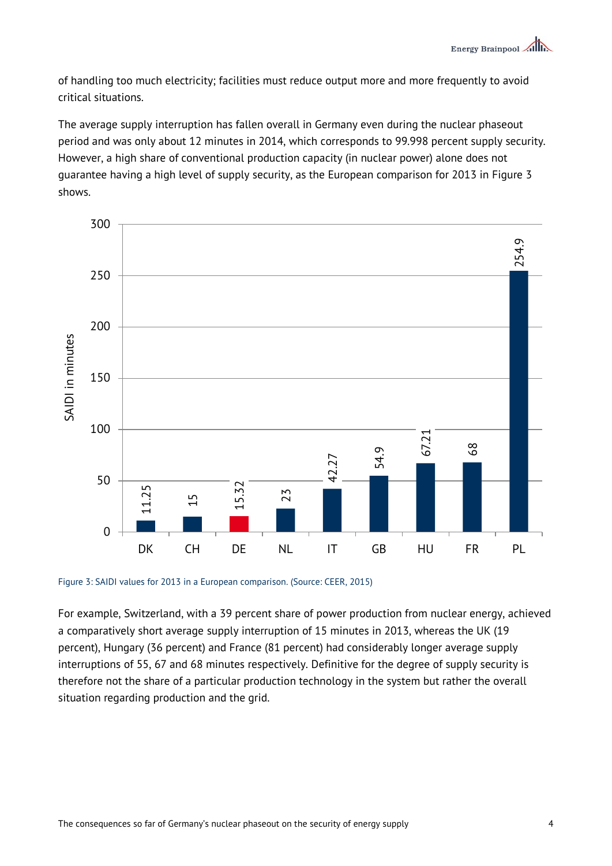of handling too much electricity; facilities must reduce output more and more frequently to avoid critical situations.

The average supply interruption has fallen overall in Germany even during the nuclear phaseout period and was only about 12 minutes in 2014, which corresponds to 99.998 percent supply security. However, a high share of conventional production capacity (in nuclear power) alone does not guarantee having a high level of supply security, as the European comparison for 2013 in Figure 3 shows.



Figure 3: SAIDI values for 2013 in a European comparison. (Source: CEER, 2015)

For example, Switzerland, with a 39 percent share of power production from nuclear energy, achieved a comparatively short average supply interruption of 15 minutes in 2013, whereas the UK (19 percent), Hungary (36 percent) and France (81 percent) had considerably longer average supply interruptions of 55, 67 and 68 minutes respectively. Definitive for the degree of supply security is therefore not the share of a particular production technology in the system but rather the overall situation regarding production and the grid.<br>
Situation regarding production regarding production and the grid.<br>
The grid production and the grid.<br>
Therefore not the share of a particular production regarding production an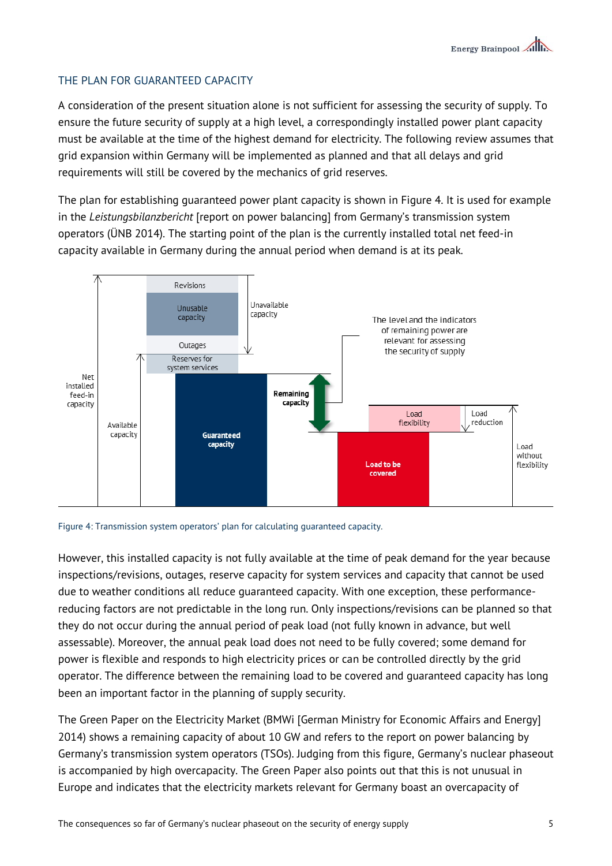## THE PLAN FOR GUARANTEED CAPACITY

A consideration of the present situation alone is not sufficient for assessing the security of supply. To ensure the future security of supply at a high level, a correspondingly installed power plant capacity must be available at the time of the highest demand for electricity. The following review assumes that grid expansion within Germany will be implemented as planned and that all delays and grid requirements will still be covered by the mechanics of grid reserves.

The plan for establishing guaranteed power plant capacity is shown in Figure 4. It is used for example in the *Leistungsbilanzbericht* [report on power balancing] from Germany's transmission system operators (ÜNB 2014). The starting point of the plan is the currently installed total net feed-in capacity available in Germany during the annual period when demand is at its peak.





However, this installed capacity is not fully available at the time of peak demand for the year because inspections/revisions, outages, reserve capacity for system services and capacity that cannot be used due to weather conditions all reduce guaranteed capacity. With one exception, these performancereducing factors are not predictable in the long run. Only inspections/revisions can be planned so that they do not occur during the annual period of peak load (not fully known in advance, but well assessable). Moreover, the annual peak load does not need to be fully covered; some demand for power is flexible and responds to high electricity prices or can be controlled directly by the grid operator. The difference between the remaining load to be covered and guaranteed capacity has long been an important factor in the planning of supply security.

The Green Paper on the Electricity Market (BMWi [German Ministry for Economic Affairs and Energy] 2014) shows a remaining capacity of about 10 GW and refers to the report on power balancing by Germany's transmission system operators (TSOs). Judging from this figure, Germany's nuclear phaseout is accompanied by high overcapacity. The Green Paper also points out that this is not unusual in Europe and indicates that the electricity markets relevant for Germany boast an overcapacity of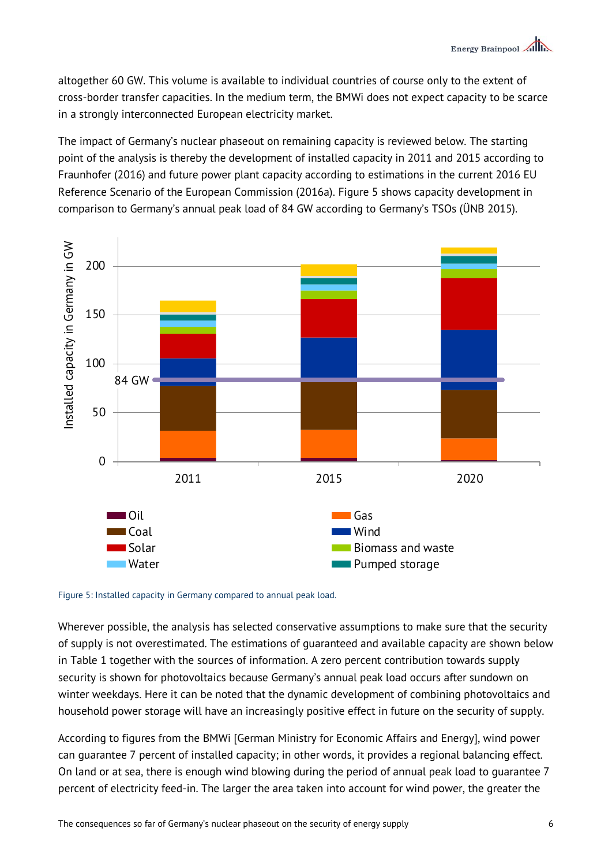altogether 60 GW. This volume is available to individual countries of course only to the extent of cross-border transfer capacities. In the medium term, the BMWi does not expect capacity to be scarce in a strongly interconnected European electricity market.

The impact of Germany's nuclear phaseout on remaining capacity is reviewed below. The starting point of the analysis is thereby the development of installed capacity in 2011 and 2015 according to Fraunhofer (2016) and future power plant capacity according to estimations in the current 2016 EU Reference Scenario of the European Commission (2016a). Figure 5 shows capacity development in comparison to Germany's annual peak load of 84 GW according to Germany's TSOs (ÜNB 2015).



#### Figure 5: Installed capacity in Germany compared to annual peak load.

Wherever possible, the analysis has selected conservative assumptions to make sure that the security of supply is not overestimated. The estimations of guaranteed and available capacity are shown below in Table 1 together with the sources of information. A zero percent contribution towards supply security is shown for photovoltaics because Germany's annual peak load occurs after sundown on winter weekdays. Here it can be noted that the dynamic development of combining photovoltaics and household power storage will have an increasingly positive effect in future on the security of supply.

According to figures from the BMWi [German Ministry for Economic Affairs and Energy], wind power can guarantee 7 percent of installed capacity; in other words, it provides a regional balancing effect. On land or at sea, there is enough wind blowing during the period of annual peak load to guarantee 7 percent of electricity feed-in. The larger the area taken into account for wind power, the greater the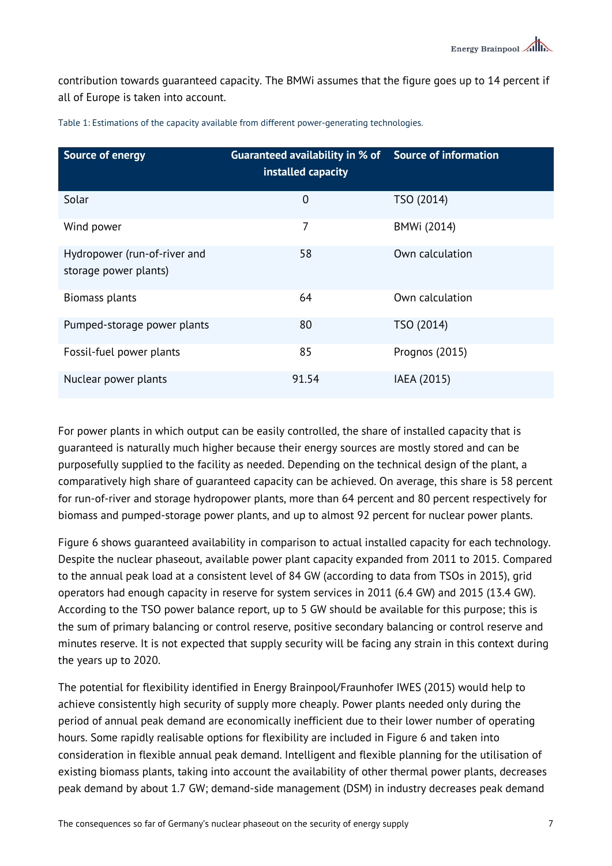contribution towards guaranteed capacity. The BMWi assumes that the figure goes up to 14 percent if all of Europe is taken into account.

| <b>Source of energy</b>                               | Guaranteed availability in % of Source of information<br>installed capacity |                 |
|-------------------------------------------------------|-----------------------------------------------------------------------------|-----------------|
| Solar                                                 | $\overline{0}$                                                              | TSO (2014)      |
| Wind power                                            | 7                                                                           | BMWi (2014)     |
| Hydropower (run-of-river and<br>storage power plants) | 58                                                                          | Own calculation |
| <b>Biomass plants</b>                                 | 64                                                                          | Own calculation |
| Pumped-storage power plants                           | 80                                                                          | TSO (2014)      |
| Fossil-fuel power plants                              | 85                                                                          | Prognos (2015)  |
| Nuclear power plants                                  | 91.54                                                                       | IAEA (2015)     |

Table 1: Estimations of the capacity available from different power-generating technologies.

For power plants in which output can be easily controlled, the share of installed capacity that is guaranteed is naturally much higher because their energy sources are mostly stored and can be purposefully supplied to the facility as needed. Depending on the technical design of the plant, a comparatively high share of guaranteed capacity can be achieved. On average, this share is 58 percent for run-of-river and storage hydropower plants, more than 64 percent and 80 percent respectively for biomass and pumped-storage power plants, and up to almost 92 percent for nuclear power plants.

Figure 6 shows guaranteed availability in comparison to actual installed capacity for each technology. Despite the nuclear phaseout, available power plant capacity expanded from 2011 to 2015. Compared to the annual peak load at a consistent level of 84 GW (according to data from TSOs in 2015), grid operators had enough capacity in reserve for system services in 2011 (6.4 GW) and 2015 (13.4 GW). According to the TSO power balance report, up to 5 GW should be available for this purpose; this is the sum of primary balancing or control reserve, positive secondary balancing or control reserve and minutes reserve. It is not expected that supply security will be facing any strain in this context during the years up to 2020.

The potential for flexibility identified in Energy Brainpool/Fraunhofer IWES (2015) would help to achieve consistently high security of supply more cheaply. Power plants needed only during the period of annual peak demand are economically inefficient due to their lower number of operating hours. Some rapidly realisable options for flexibility are included in Figure 6 and taken into consideration in flexible annual peak demand. Intelligent and flexible planning for the utilisation of existing biomass plants, taking into account the availability of other thermal power plants, decreases peak demand by about 1.7 GW; demand-side management (DSM) in industry decreases peak demand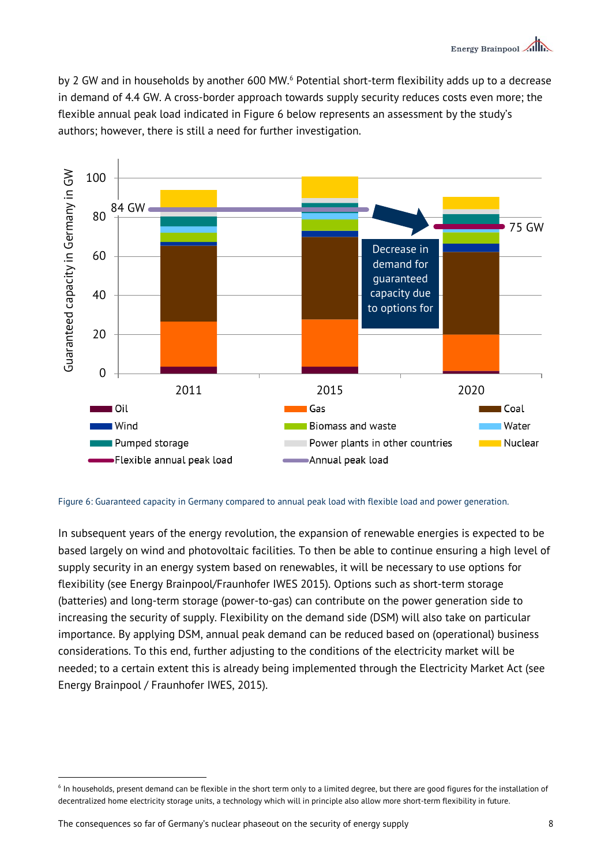by 2 GW and in households by another 600 MW.<sup>6</sup> Potential short-term flexibility adds up to a decrease in demand of 4.4 GW. A cross-border approach towards supply security reduces costs even more; the flexible annual peak load indicated in Figure 6 below represents an assessment by the study's authors; however, there is still a need for further investigation.



Figure 6: Guaranteed capacity in Germany compared to annual peak load with flexible load and power generation.

In subsequent years of the energy revolution, the expansion of renewable energies is expected to be based largely on wind and photovoltaic facilities. To then be able to continue ensuring a high level of supply security in an energy system based on renewables, it will be necessary to use options for flexibility (see Energy Brainpool/Fraunhofer IWES 2015). Options such as short-term storage (batteries) and long-term storage (power-to-gas) can contribute on the power generation side to increasing the security of supply. Flexibility on the demand side (DSM) will also take on particular importance. By applying DSM, annual peak demand can be reduced based on (operational) business considerations. To this end, further adjusting to the conditions of the electricity market will be needed; to a certain extent this is already being implemented through the Electricity Market Act (see Energy Brainpool / Fraunhofer IWES, 2015).

 $\overline{a}$ 

<sup>&</sup>lt;sup>6</sup> In households, present demand can be flexible in the short term only to a limited degree, but there are good figures for the installation of decentralized home electricity storage units, a technology which will in principle also allow more short-term flexibility in future.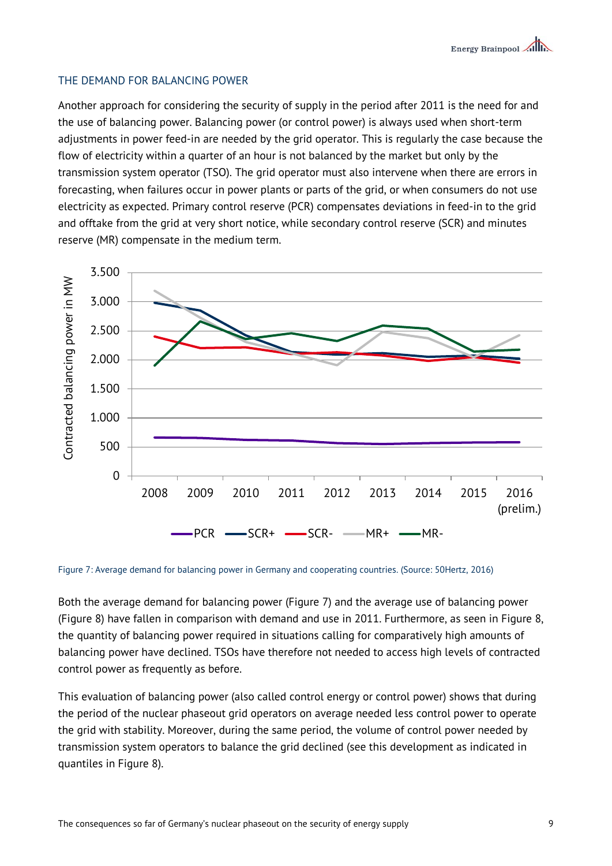### THE DEMAND FOR BALANCING POWER

Another approach for considering the security of supply in the period after 2011 is the need for and the use of balancing power. Balancing power (or control power) is always used when short-term adjustments in power feed-in are needed by the grid operator. This is regularly the case because the flow of electricity within a quarter of an hour is not balanced by the market but only by the transmission system operator (TSO). The grid operator must also intervene when there are errors in forecasting, when failures occur in power plants or parts of the grid, or when consumers do not use electricity as expected. Primary control reserve (PCR) compensates deviations in feed-in to the grid and offtake from the grid at very short notice, while secondary control reserve (SCR) and minutes reserve (MR) compensate in the medium term.



Figure 7: Average demand for balancing power in Germany and cooperating countries. (Source: 50Hertz, 2016)

Both the average demand for balancing power (Figure 7) and the average use of balancing power (Figure 8) have fallen in comparison with demand and use in 2011. Furthermore, as seen in Figure 8, the quantity of balancing power required in situations calling for comparatively high amounts of balancing power have declined. TSOs have therefore not needed to access high levels of contracted control power as frequently as before.

This evaluation of balancing power (also called control energy or control power) shows that during the period of the nuclear phaseout grid operators on average needed less control power to operate the grid with stability. Moreover, during the same period, the volume of control power needed by transmission system operators to balance the grid declined (see this development as indicated in quantiles in Figure 8).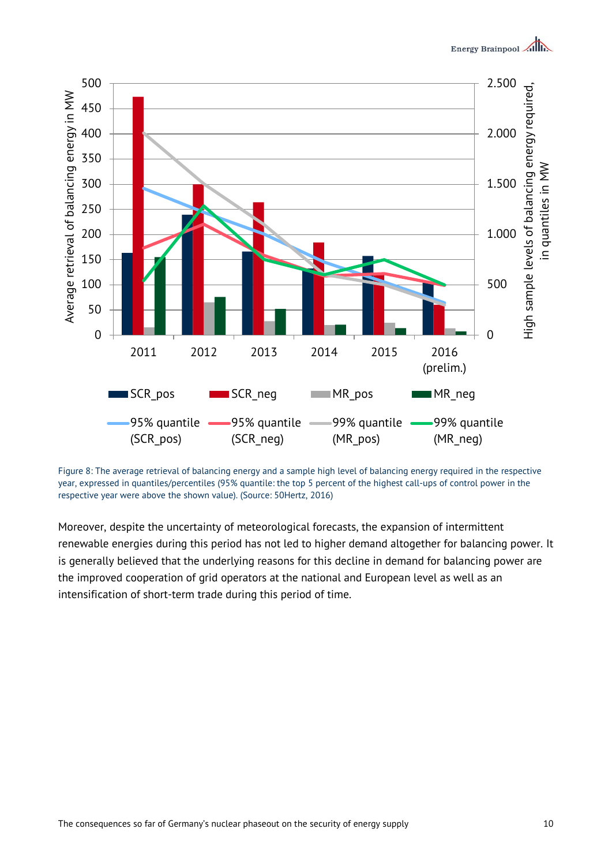

Figure 8: The average retrieval of balancing energy and a sample high level of balancing energy required in the respective year, expressed in quantiles/percentiles (95% quantile: the top 5 percent of the highest call-ups of control power in the respective year were above the shown value). (Source: 50Hertz, 2016)

Moreover, despite the uncertainty of meteorological forecasts, the expansion of intermittent renewable energies during this period has not led to higher demand altogether for balancing power. It is generally believed that the underlying reasons for this decline in demand for balancing power are the improved cooperation of grid operators at the national and European level as well as an intensification of short-term trade during this period of time.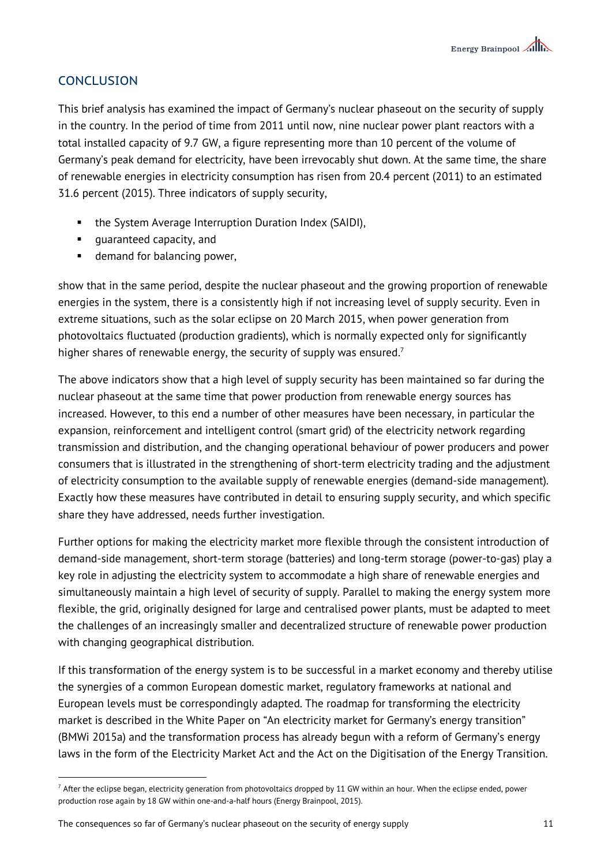# **CONCLUSION**

 $\overline{a}$ 

This brief analysis has examined the impact of Germany's nuclear phaseout on the security of supply in the country. In the period of time from 2011 until now, nine nuclear power plant reactors with a total installed capacity of 9.7 GW, a figure representing more than 10 percent of the volume of Germany's peak demand for electricity, have been irrevocably shut down. At the same time, the share of renewable energies in electricity consumption has risen from 20.4 percent (2011) to an estimated 31.6 percent (2015). Three indicators of supply security,

- the System Average Interruption Duration Index (SAIDI),
- **quaranteed capacity, and**
- **demand for balancing power.**

show that in the same period, despite the nuclear phaseout and the growing proportion of renewable energies in the system, there is a consistently high if not increasing level of supply security. Even in extreme situations, such as the solar eclipse on 20 March 2015, when power generation from photovoltaics fluctuated (production gradients), which is normally expected only for significantly higher shares of renewable energy, the security of supply was ensured.<sup>7</sup>

The above indicators show that a high level of supply security has been maintained so far during the nuclear phaseout at the same time that power production from renewable energy sources has increased. However, to this end a number of other measures have been necessary, in particular the expansion, reinforcement and intelligent control (smart grid) of the electricity network regarding transmission and distribution, and the changing operational behaviour of power producers and power consumers that is illustrated in the strengthening of short-term electricity trading and the adjustment of electricity consumption to the available supply of renewable energies (demand-side management). Exactly how these measures have contributed in detail to ensuring supply security, and which specific share they have addressed, needs further investigation.

Further options for making the electricity market more flexible through the consistent introduction of demand-side management, short-term storage (batteries) and long-term storage (power-to-gas) play a key role in adjusting the electricity system to accommodate a high share of renewable energies and simultaneously maintain a high level of security of supply. Parallel to making the energy system more flexible, the grid, originally designed for large and centralised power plants, must be adapted to meet the challenges of an increasingly smaller and decentralized structure of renewable power production with changing geographical distribution.

If this transformation of the energy system is to be successful in a market economy and thereby utilise the synergies of a common European domestic market, regulatory frameworks at national and European levels must be correspondingly adapted. The roadmap for transforming the electricity market is described in the White Paper on "An electricity market for Germany's energy transition" (BMWi 2015a) and the transformation process has already begun with a reform of Germany's energy laws in the form of the Electricity Market Act and the Act on the Digitisation of the Energy Transition.

The consequences so far of Germany's nuclear phaseout on the security of energy supply The consequences so far of Germany's nuclear phaseout on the security of energy supply

 $^7$  After the eclipse began, electricity generation from photovoltaics dropped by 11 GW within an hour. When the eclipse ended, power production rose again by 18 GW within one-and-a-half hours (Energy Brainpool, 2015).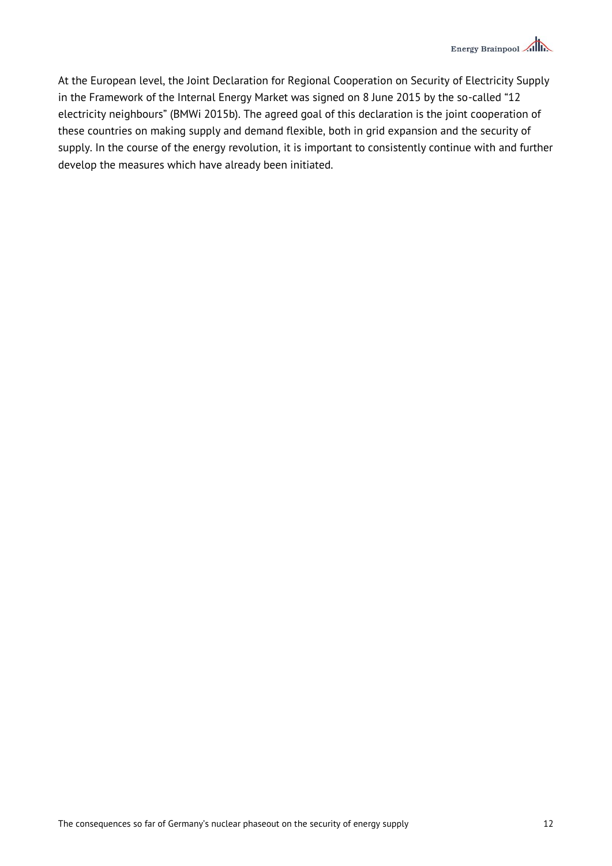At the European level, the Joint Declaration for Regional Cooperation on Security of Electricity Supply in the Framework of the Internal Energy Market was signed on 8 June 2015 by the so-called "12 electricity neighbours" (BMWi 2015b). The agreed goal of this declaration is the joint cooperation of these countries on making supply and demand flexible, both in grid expansion and the security of supply. In the course of the energy revolution, it is important to consistently continue with and further develop the measures which have already been initiated.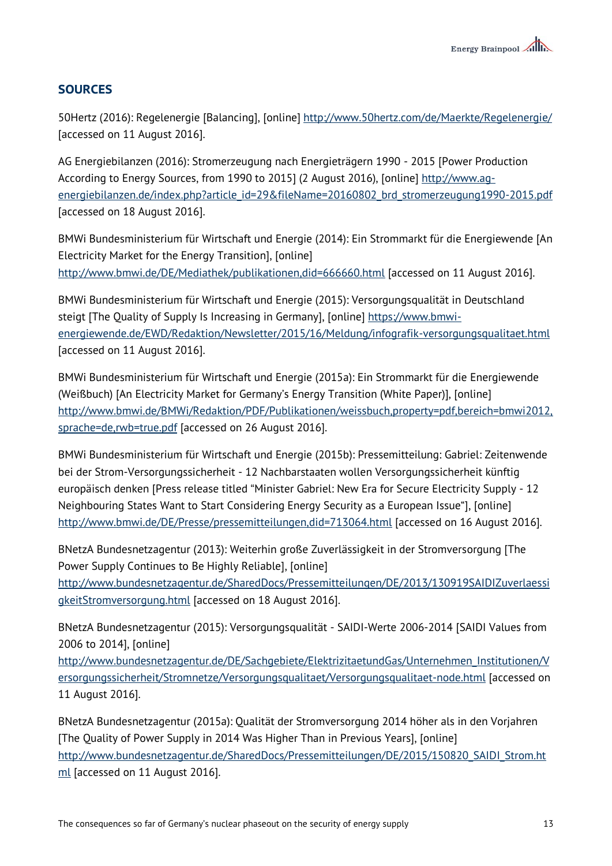# **SOURCES**

50Hertz (2016): Regelenergie [Balancing], [online]<http://www.50hertz.com/de/Maerkte/Regelenergie/> [accessed on 11 August 2016].

AG Energiebilanzen (2016): Stromerzeugung nach Energieträgern 1990 - 2015 [Power Production According to Energy Sources, from 1990 to 2015] (2 August 2016), [online] [http://www.ag](http://www.ag-energiebilanzen.de/index.php?article_id=29&fileName=20160802_brd_stromerzeugung1990-2015.pdf)[energiebilanzen.de/index.php?article\\_id=29&fileName=20160802\\_brd\\_stromerzeugung1990-2015.pdf](http://www.ag-energiebilanzen.de/index.php?article_id=29&fileName=20160802_brd_stromerzeugung1990-2015.pdf) [accessed on 18 August 2016].

BMWi Bundesministerium für Wirtschaft und Energie (2014): Ein Strommarkt für die Energiewende [An Electricity Market for the Energy Transition], [online] <http://www.bmwi.de/DE/Mediathek/publikationen,did=666660.html> [accessed on 11 August 2016].

BMWi Bundesministerium für Wirtschaft und Energie (2015): Versorgungsqualität in Deutschland steigt [The Quality of Supply Is Increasing in Germany], [online] [https://www.bmwi](https://www.bmwi-energiewende.de/EWD/Redaktion/Newsletter/2015/16/Meldung/infografik-versorgungsqualitaet.html)[energiewende.de/EWD/Redaktion/Newsletter/2015/16/Meldung/infografik-versorgungsqualitaet.html](https://www.bmwi-energiewende.de/EWD/Redaktion/Newsletter/2015/16/Meldung/infografik-versorgungsqualitaet.html) [accessed on 11 August 2016].

BMWi Bundesministerium für Wirtschaft und Energie (2015a): Ein Strommarkt für die Energiewende (Weißbuch) [An Electricity Market for Germany's Energy Transition (White Paper)], [online] [http://www.bmwi.de/BMWi/Redaktion/PDF/Publikationen/weissbuch,property=pdf,bereich=bmwi2012,](http://www.bmwi.de/BMWi/Redaktion/PDF/Publikationen/weissbuch,property=pdf,bereich=bmwi2012,sprache=de,rwb=true.pdf) [sprache=de,rwb=true.pdf](http://www.bmwi.de/BMWi/Redaktion/PDF/Publikationen/weissbuch,property=pdf,bereich=bmwi2012,sprache=de,rwb=true.pdf) [accessed on 26 August 2016].

BMWi Bundesministerium für Wirtschaft und Energie (2015b): Pressemitteilung: Gabriel: Zeitenwende bei der Strom-Versorgungssicherheit - 12 Nachbarstaaten wollen Versorgungssicherheit künftig europäisch denken [Press release titled "Minister Gabriel: New Era for Secure Electricity Supply - 12 Neighbouring States Want to Start Considering Energy Security as a European Issue"], [online] <http://www.bmwi.de/DE/Presse/pressemitteilungen,did=713064.html> [accessed on 16 August 2016].

BNetzA Bundesnetzagentur (2013): Weiterhin große Zuverlässigkeit in der Stromversorgung [The Power Supply Continues to Be Highly Reliable], [online] [http://www.bundesnetzagentur.de/SharedDocs/Pressemitteilungen/DE/2013/130919SAIDIZuverlaessi](http://www.bundesnetzagentur.de/SharedDocs/Pressemitteilungen/DE/2013/130919SAIDIZuverlaessigkeitStromversorgung.html) [gkeitStromversorgung.html](http://www.bundesnetzagentur.de/SharedDocs/Pressemitteilungen/DE/2013/130919SAIDIZuverlaessigkeitStromversorgung.html) [accessed on 18 August 2016].

BNetzA Bundesnetzagentur (2015): Versorgungsqualität - SAIDI-Werte 2006-2014 [SAIDI Values from 2006 to 2014], [online]

[http://www.bundesnetzagentur.de/DE/Sachgebiete/ElektrizitaetundGas/Unternehmen\\_Institutionen/V](http://www.bundesnetzagentur.de/DE/Sachgebiete/ElektrizitaetundGas/Unternehmen_Institutionen/Versorgungssicherheit/Stromnetze/Versorgungsqualitaet/Versorgungsqualitaet-node.html) [ersorgungssicherheit/Stromnetze/Versorgungsqualitaet/Versorgungsqualitaet-node.html](http://www.bundesnetzagentur.de/DE/Sachgebiete/ElektrizitaetundGas/Unternehmen_Institutionen/Versorgungssicherheit/Stromnetze/Versorgungsqualitaet/Versorgungsqualitaet-node.html) [accessed on 11 August 2016].

BNetzA Bundesnetzagentur (2015a): Qualität der Stromversorgung 2014 höher als in den Vorjahren [The Quality of Power Supply in 2014 Was Higher Than in Previous Years], [online] [http://www.bundesnetzagentur.de/SharedDocs/Pressemitteilungen/DE/2015/150820\\_SAIDI\\_Strom.ht](http://www.bundesnetzagentur.de/SharedDocs/Pressemitteilungen/DE/2015/150820_SAIDI_Strom.html) [ml](http://www.bundesnetzagentur.de/SharedDocs/Pressemitteilungen/DE/2015/150820_SAIDI_Strom.html) [accessed on 11 August 2016].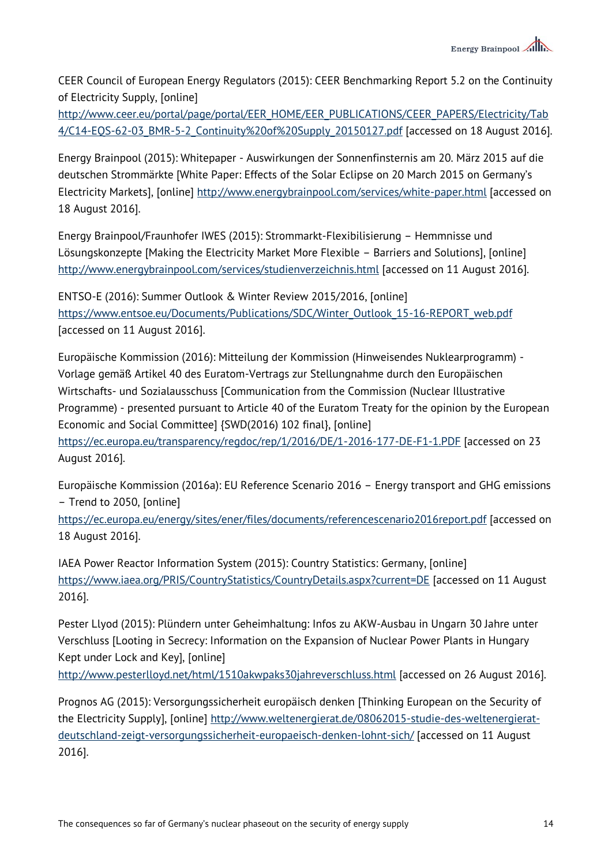CEER Council of European Energy Regulators (2015): CEER Benchmarking Report 5.2 on the Continuity of Electricity Supply, [online]

[http://www.ceer.eu/portal/page/portal/EER\\_HOME/EER\\_PUBLICATIONS/CEER\\_PAPERS/Electricity/Tab](http://www.ceer.eu/portal/page/portal/EER_HOME/EER_PUBLICATIONS/CEER_PAPERS/Electricity/Tab4/C14-EQS-62-03_BMR-5-2_Continuity%20of%20Supply_20150127.pdf) [4/C14-EQS-62-03\\_BMR-5-2\\_Continuity%20of%20Supply\\_20150127.pdf](http://www.ceer.eu/portal/page/portal/EER_HOME/EER_PUBLICATIONS/CEER_PAPERS/Electricity/Tab4/C14-EQS-62-03_BMR-5-2_Continuity%20of%20Supply_20150127.pdf) [accessed on 18 August 2016].

Energy Brainpool (2015): Whitepaper - Auswirkungen der Sonnenfinsternis am 20. März 2015 auf die deutschen Strommärkte [White Paper: Effects of the Solar Eclipse on 20 March 2015 on Germany's Electricity Markets], [online]<http://www.energybrainpool.com/services/white-paper.html> [accessed on 18 August 2016].

Energy Brainpool/Fraunhofer IWES (2015): Strommarkt-Flexibilisierung – Hemmnisse und Lösungskonzepte [Making the Electricity Market More Flexible – Barriers and Solutions], [online] <http://www.energybrainpool.com/services/studienverzeichnis.html> [accessed on 11 August 2016].

ENTSO-E (2016): Summer Outlook & Winter Review 2015/2016, [online] [https://www.entsoe.eu/Documents/Publications/SDC/Winter\\_Outlook\\_15-16-REPORT\\_web.pdf](https://www.entsoe.eu/Documents/Publications/SDC/Winter_Outlook_15-16-REPORT_web.pdf) [accessed on 11 August 2016].

Europäische Kommission (2016): Mitteilung der Kommission (Hinweisendes Nuklearprogramm) - Vorlage gemäß Artikel 40 des Euratom-Vertrags zur Stellungnahme durch den Europäischen Wirtschafts- und Sozialausschuss [Communication from the Commission (Nuclear Illustrative Programme) - presented pursuant to Article 40 of the Euratom Treaty for the opinion by the European Economic and Social Committee] {SWD(2016) 102 final}, [online] <https://ec.europa.eu/transparency/regdoc/rep/1/2016/DE/1-2016-177-DE-F1-1.PDF> [accessed on 23 August 2016].

Europäische Kommission (2016a): EU Reference Scenario 2016 – Energy transport and GHG emissions – Trend to 2050, [online]

<https://ec.europa.eu/energy/sites/ener/files/documents/referencescenario2016report.pdf> [accessed on 18 August 2016].

IAEA Power Reactor Information System (2015): Country Statistics: Germany, [online] <https://www.iaea.org/PRIS/CountryStatistics/CountryDetails.aspx?current=DE> [accessed on 11 August 2016].

Pester Llyod (2015): Plündern unter Geheimhaltung: Infos zu AKW-Ausbau in Ungarn 30 Jahre unter Verschluss [Looting in Secrecy: Information on the Expansion of Nuclear Power Plants in Hungary Kept under Lock and Key], [online]

<http://www.pesterlloyd.net/html/1510akwpaks30jahreverschluss.html> [accessed on 26 August 2016].

Prognos AG (2015): Versorgungssicherheit europäisch denken [Thinking European on the Security of the Electricity Supply], [online] [http://www.weltenergierat.de/08062015-studie-des-weltenergierat](http://www.weltenergierat.de/08062015-studie-des-weltenergierat-deutschland-zeigt-versorgungssicherheit-europaeisch-denken-lohnt-sich/)[deutschland-zeigt-versorgungssicherheit-europaeisch-denken-lohnt-sich/](http://www.weltenergierat.de/08062015-studie-des-weltenergierat-deutschland-zeigt-versorgungssicherheit-europaeisch-denken-lohnt-sich/) [accessed on 11 August 2016].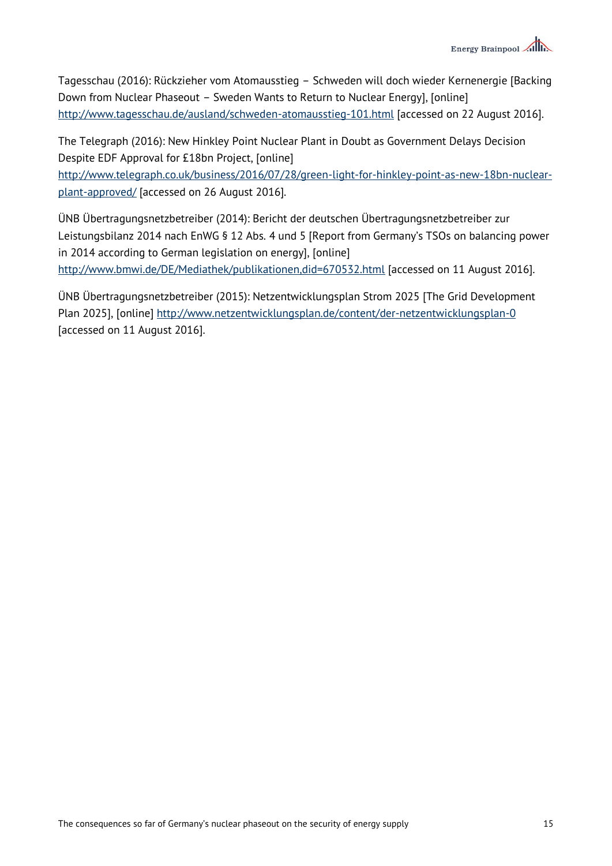

Tagesschau (2016): Rückzieher vom Atomausstieg – Schweden will doch wieder Kernenergie [Backing Down from Nuclear Phaseout – Sweden Wants to Return to Nuclear Energy], [online] <http://www.tagesschau.de/ausland/schweden-atomausstieg-101.html> [accessed on 22 August 2016].

The Telegraph (2016): New Hinkley Point Nuclear Plant in Doubt as Government Delays Decision Despite EDF Approval for £18bn Project, [online]

[http://www.telegraph.co.uk/business/2016/07/28/green-light-for-hinkley-point-as-new-18bn-nuclear](http://www.telegraph.co.uk/business/2016/07/28/green-light-for-hinkley-point-as-new-18bn-nuclear-plant-approved/)[plant-approved/](http://www.telegraph.co.uk/business/2016/07/28/green-light-for-hinkley-point-as-new-18bn-nuclear-plant-approved/) [accessed on 26 August 2016].

ÜNB Übertragungsnetzbetreiber (2014): Bericht der deutschen Übertragungsnetzbetreiber zur Leistungsbilanz 2014 nach EnWG § 12 Abs. 4 und 5 [Report from Germany's TSOs on balancing power in 2014 according to German legislation on energy], [online] <http://www.bmwi.de/DE/Mediathek/publikationen,did=670532.html> [accessed on 11 August 2016].

ÜNB Übertragungsnetzbetreiber (2015): Netzentwicklungsplan Strom 2025 [The Grid Development Plan 2025], [online]<http://www.netzentwicklungsplan.de/content/der-netzentwicklungsplan-0> [accessed on 11 August 2016].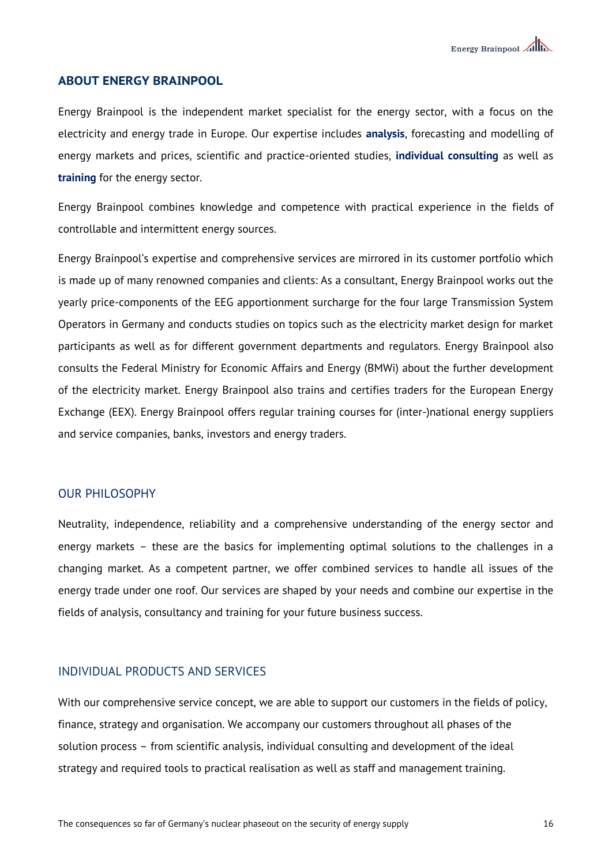### **ABOUT ENERGY BRAINPOOL**

Energy Brainpool is the independent market specialist for the energy sector, with a focus on the electricity and energy trade in Europe. Our expertise includes **analysis**, forecasting and modelling of energy markets and prices, scientific and practice-oriented studies, **individual consulting** as well as **training** for the energy sector.

Energy Brainpool combines knowledge and competence with practical experience in the fields of controllable and intermittent energy sources.

Energy Brainpool's expertise and comprehensive services are mirrored in its customer portfolio which is made up of many renowned companies and clients: As a consultant, Energy Brainpool works out the yearly price-components of the EEG apportionment surcharge for the four large Transmission System Operators in Germany and conducts studies on topics such as the electricity market design for market participants as well as for different government departments and regulators. Energy Brainpool also consults the Federal Ministry for Economic Affairs and Energy (BMWi) about the further development of the electricity market. Energy Brainpool also trains and certifies traders for the European Energy Exchange (EEX). Energy Brainpool offers regular training courses for (inter-)national energy suppliers and service companies, banks, investors and energy traders.

#### OUR PHILOSOPHY

Neutrality, independence, reliability and a comprehensive understanding of the energy sector and energy markets – these are the basics for implementing optimal solutions to the challenges in a changing market. As a competent partner, we offer combined services to handle all issues of the energy trade under one roof. Our services are shaped by your needs and combine our expertise in the fields of analysis, consultancy and training for your future business success.

### INDIVIDUAL PRODUCTS AND SERVICES

With our comprehensive service concept, we are able to support our customers in the fields of policy, finance, strategy and organisation. We accompany our customers throughout all phases of the solution process – from scientific analysis, individual consulting and development of the ideal strategy and required tools to practical realisation as well as staff and management training.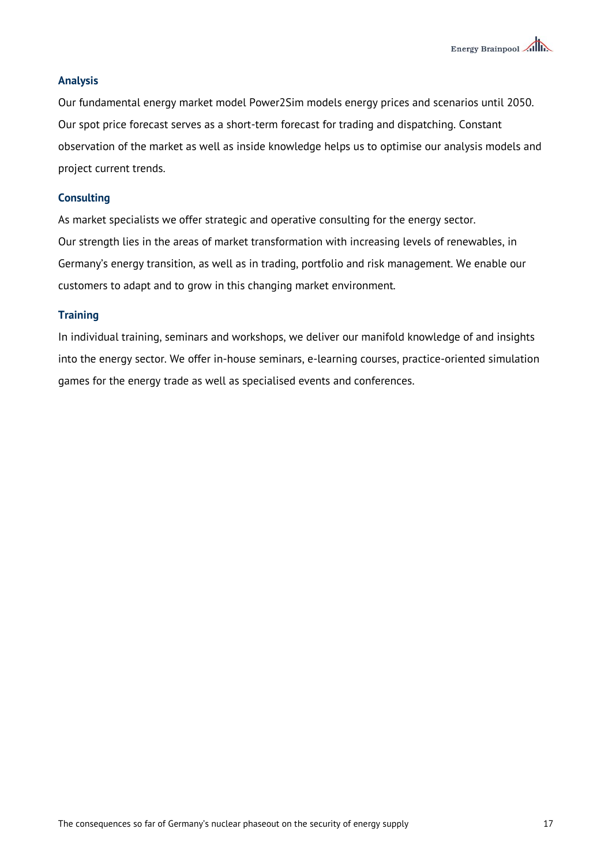### **Analysis**

Our fundamental energy market model Power2Sim models energy prices and scenarios until 2050. Our spot price forecast serves as a short-term forecast for trading and dispatching. Constant observation of the market as well as inside knowledge helps us to optimise our analysis models and project current trends.

### **Consulting**

As market specialists we offer strategic and operative consulting for the energy sector. Our strength lies in the areas of market transformation with increasing levels of renewables, in Germany's energy transition, as well as in trading, portfolio and risk management. We enable our customers to adapt and to grow in this changing market environment.

#### **Training**

In individual training, seminars and workshops, we deliver our manifold knowledge of and insights into the energy sector. We offer in-house seminars, e-learning courses, practice-oriented simulation games for the energy trade as well as specialised events and conferences.